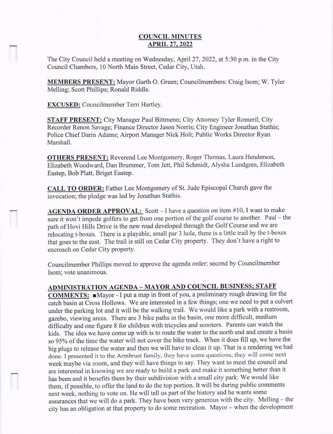## COUNCIL MINUTES **APRIL 27, 2022**

The City Council held a meeting on Wednesday, April 27, 2022, at 5:30 p.m. in the City Council Chambers, l0 North Main Street, Cedar City, Utah.

MEMBERS PRESENT: Mayor Garth O. Green; Councilmembers: Craig Isom; W. Tyler Melling; Scott Phillips; Ronald Riddle.

EXCUSED: Councilmember Terri Hartley.

STAFF PRESENT: City Manager Paul Bittmenn; City Attorney Tyler Romeril; City Recorder Renon Savage; Finance Director Jason Norris; City Engineer Jonathan Stathis; Police Chief Darin Adams; Airport Manager Nick Holt; Public Works Director Ryan Marshall.

OTHERS PRESENT: Reverend Lee Montgomery, Roger Thomas. Laura Henderson, Elizabeth Woodu'ard, Dan Brummer, Tom Jett, Phil Schmidt, Alysha Lundgren, Elizabeth Eastep, Bob Platt, Briget Eastep.

CALL TO ORDER: Father Lee Montgomery of St. Jude Episcopal Church gave the invocation; the pledge was led by Jonathan Stathis.

AGENDA ORDER APPROVAL: Scott – I have a question on item #10, I want to make sure it won't impede golfers to get from one portion of the golf course to another. Paul – the path of Hovi Hills Drive is the new road developed through the Golf Course and we are relocating t-boxes. There is a playable, small par 3 hole, there is a little trail by the t-boxes that goes to the east. The trail is still on Cedar City property. They don't have a right to encroach on Cedar City property.

Councilmember Phillips moved to approve the agenda order; second by Councilmember Isom; vote unanimous.

## ADMINISTRATION AGENDA \_ MAYOR AND COUNCIL BUSINESS: STAFF

COMMENTS: Mayor - I put a map in front of you, a preliminary rough drawing for the catch basin at Cross Hollows. We are interested in a few things; one we need to put a culvert under the parking lot and it will be the walking trail. We would like a park with a restroom, gazebo, viewing areas. There are 3 bike paths in the basin, one more difficult, medium difficulty and one figure 8 for children with tricycles and scooters. Parents can watch the kids. The idea we have come up with is to route the water to the north end and create a basin so 95% of the time the water will not cover the bike track. When it does fill up, we have the big plugs to release the water and then we will have to clean it up. That is a rendering we had done. I presented it to the Armbrust family, they have some questions, they will come next week maybe via zoom, and they will have things to say. They want to meet the council and are interested in knowing we are ready to build a park and make it something better than it has been and it benefits them by their subdivision with a small city park. We would like them, if possible, to offer the land to do the top portion. It will be during public comments next week, nothing to vote on. He will tell us part of the history and he wants some assurances that we will do a park. They have been very generous with the city. Melling - the city has an obtigation at that property to do some recreation. Mayor - when the development